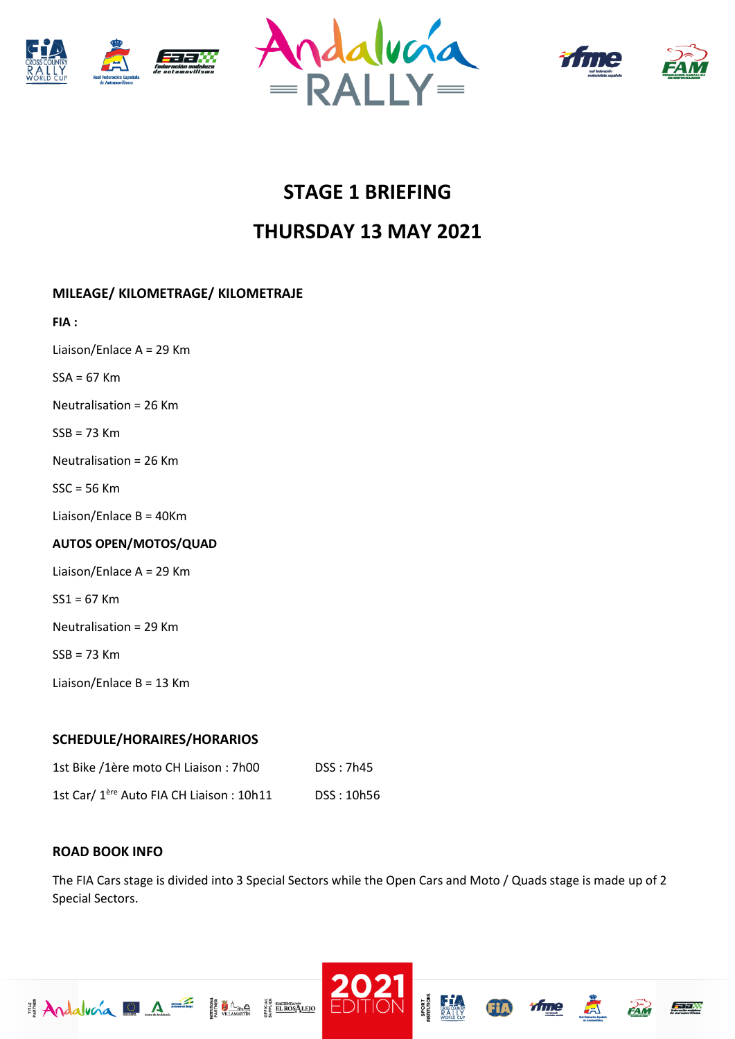







# **STAGE 1 BRIEFING**

## **THURSDAY 13 MAY 2021**

### **MILEAGE/ KILOMETRAGE/ KILOMETRAJE**

**FIA :** 

Liaison/Enlace A = 29 Km

SSA = 67 Km

Neutralisation = 26 Km

SSB = 73 Km

Neutralisation = 26 Km

SSC = 56 Km

Liaison/Enlace B = 40Km

#### **AUTOS OPEN/MOTOS/QUAD**

Liaison/Enlace A = 29 Km

 $SS1 = 67$  Km

Neutralisation = 29 Km

SSB = 73 Km

Liaison/Enlace B = 13 Km

#### **SCHEDULE/HORAIRES/HORARIOS**

| 1st Bike /1ère moto CH Liaison: 7h00                 | DSS: 7h45  |
|------------------------------------------------------|------------|
| 1st Car/ 1 <sup>ère</sup> Auto FIA CH Liaison: 10h11 | DSS: 10h56 |

#### **ROAD BOOK INFO**

The FIA Cars stage is divided into 3 Special Sectors while the Open Cars and Moto / Quads stage is made up of 2 Special Sectors.